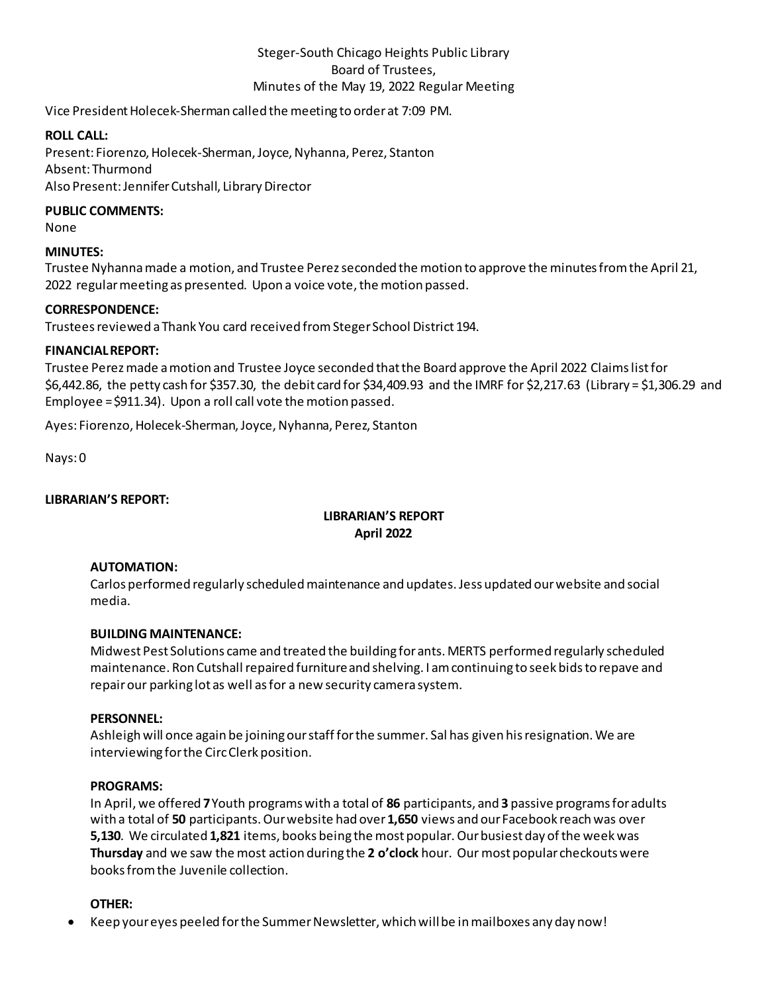# Steger-South Chicago Heights Public Library Board of Trustees, Minutes of the May 19, 2022 Regular Meeting

Vice President Holecek-Sherman called the meeting to order at 7:09 PM.

# **ROLL CALL:**

Present: Fiorenzo, Holecek-Sherman, Joyce, Nyhanna, Perez, Stanton Absent: Thurmond Also Present: Jennifer Cutshall, Library Director

#### **PUBLIC COMMENTS:**

None

# **MINUTES:**

Trustee Nyhanna made a motion, and Trustee Perez seconded the motion to approve the minutes from the April 21, 2022 regular meeting as presented. Upon a voice vote, the motion passed.

#### **CORRESPONDENCE:**

Trustees reviewed a Thank You card received from Steger School District 194.

# **FINANCIAL REPORT:**

Trustee Perezmade a motion and Trustee Joyce seconded that the Board approve the April 2022 Claims list for \$6,442.86, the petty cash for \$357.30, the debit card for \$34,409.93 and the IMRF for \$2,217.63 (Library = \$1,306.29 and Employee = \$911.34). Upon a roll call vote the motion passed.

Ayes: Fiorenzo, Holecek-Sherman, Joyce, Nyhanna, Perez, Stanton

Nays: 0

### **LIBRARIAN'S REPORT:**

# **LIBRARIAN'S REPORT April 2022**

#### **AUTOMATION:**

Carlos performed regularly scheduled maintenance and updates. Jess updated our website and social media.

# **BUILDING MAINTENANCE:**

Midwest Pest Solutions came and treated the building for ants. MERTS performed regularly scheduled maintenance. Ron Cutshall repaired furniture and shelving. I am continuing to seek bids to repave and repair our parking lot as well as for a new security camera system.

#### **PERSONNEL:**

Ashleigh will once again be joining our staff for the summer. Sal has given his resignation. We are interviewing for the Circ Clerk position.

#### **PROGRAMS:**

In April, we offered **7**Youth programs with a total of **86** participants, and **3** passive programs for adults with a total of **50** participants. Our website had over **1,650** views and our Facebook reach was over **5,130**. We circulated **1,821** items, books being the most popular. Our busiest day of the week was **Thursday** and we saw the most action during the **2 o'clock** hour. Our most popular checkouts were books from the Juvenile collection.

#### **OTHER:**

• Keep your eyes peeled for the Summer Newsletter, which will be in mailboxes any day now!